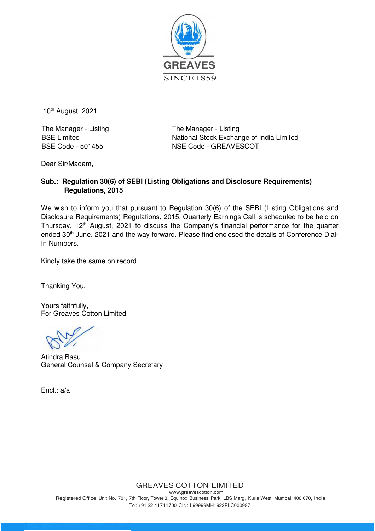

10<sup>th</sup> August, 2021

The Manager - Listing The Manager - Listing

BSE Limited<br>BSE Code - 501455<br>
NSE Code - GREAVESCOT NSE Code - GREAVESCOT

Dear Sir/Madam,

## **Sub.: Regulation 30(6) of SEBI (Listing Obligations and Disclosure Requirements) Regulations, 2015**

We wish to inform you that pursuant to Regulation 30(6) of the SEBI (Listing Obligations and Disclosure Requirements) Regulations, 2015, Quarterly Earnings Call is scheduled to be held on Thursday, 12<sup>th</sup> August, 2021 to discuss the Company's financial performance for the quarter ended 30<sup>th</sup> June, 2021 and the way forward. Please find enclosed the details of Conference Dial-In Numbers.

Kindly take the same on record.

Thanking You,

Yours faithfully, For Greaves Cotton Limited

Atindra Basu General Counsel & Company Secretary

Encl.: a/a

GREAVES COTTON LIMITED

www.greavescotton.com Registered Office: Unit No. 701, 7th Floor, Tower 3, Equinox Business Park, LBS Marg, Kurla West, Mumbai 400 070, India Tel: +91 22 41711700 CIN: L99999MH1922PLC000987